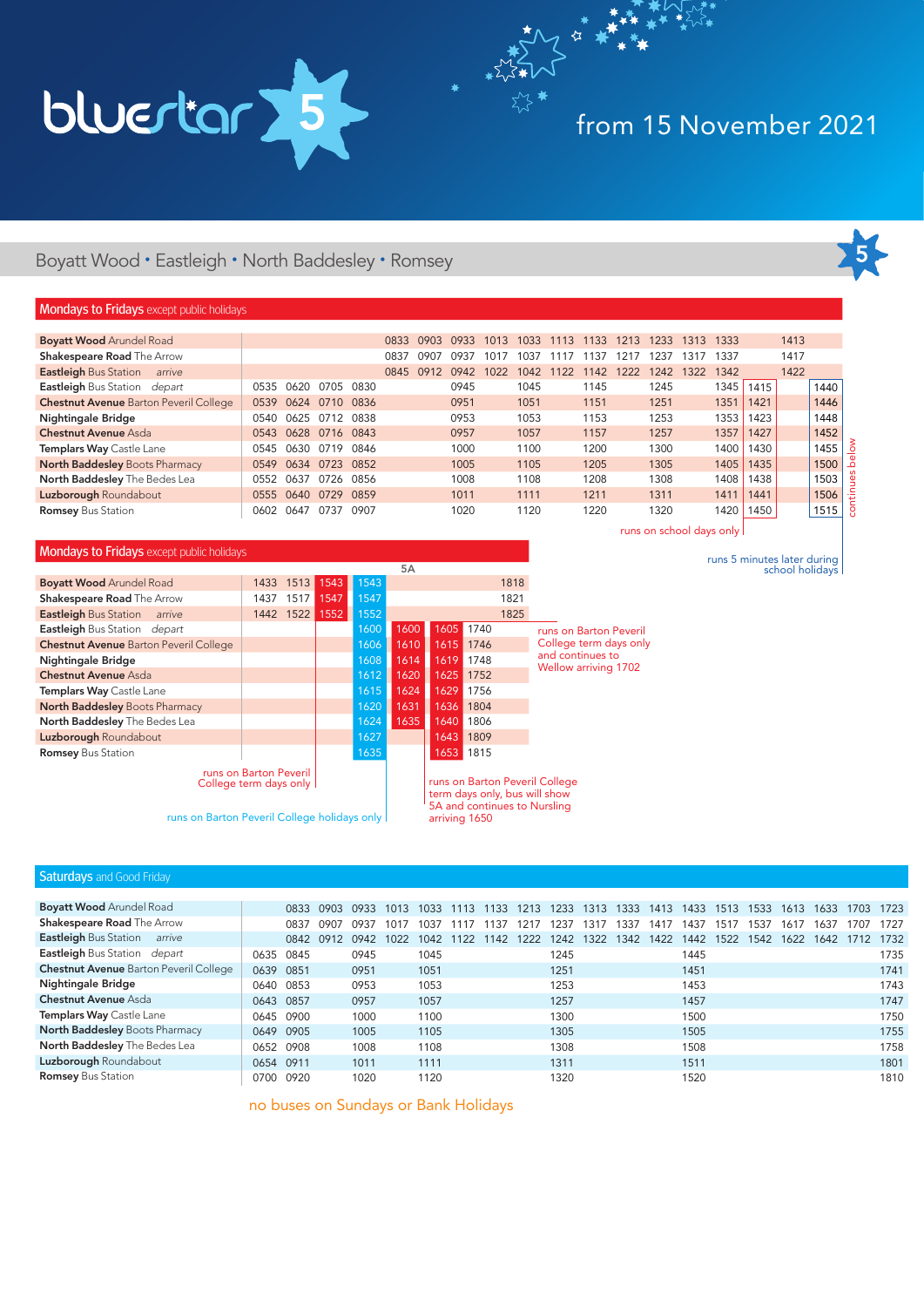

# from 15 November 2021

### Boyatt Wood • Eastleigh • North Baddesley • Romsey

### **Mondays to Fridays** except public holidays

| <b>Boyatt Wood Arundel Road</b>               |      |      |      |      | 0833 | 0903 | 0933 | 1013 | 1033 | 1113 | 1133 | 1213 | 1233 | 1313 | 1333 |      | 1413 |      |
|-----------------------------------------------|------|------|------|------|------|------|------|------|------|------|------|------|------|------|------|------|------|------|
| <b>Shakespeare Road The Arrow</b>             |      |      |      |      | 0837 | 0907 | 0937 | 1017 | 1037 |      | 137  | 1217 | 1237 | 1317 | 1337 |      | 1417 |      |
| <b>Eastleigh Bus Station</b><br>arrive        |      |      |      |      | 0845 | 0912 | 0942 | 1022 | 1042 | 1122 | 1142 | 1222 | 1242 | 1322 | 1342 |      | 1422 |      |
| Eastleigh Bus Station depart                  | 0535 | 0620 | 0705 | 0830 |      |      | 0945 |      | 1045 |      | 1145 |      | 1245 |      | 1345 | 1415 |      | 1440 |
| <b>Chestnut Avenue Barton Peveril College</b> | 0539 | 0624 | 0710 | 0836 |      |      | 0951 |      | 1051 |      | 1151 |      | 1251 |      | 1351 | 1421 |      | 1446 |
| <b>Nightingale Bridge</b>                     | 0540 | 0625 | 0712 | 0838 |      |      | 0953 |      | 1053 |      | 1153 |      | 1253 |      | 1353 | 1423 |      | 1448 |
| Chestnut Avenue Asda                          | 0543 | 0628 | 0716 | 0843 |      |      | 0957 |      | 1057 |      | 1157 |      | 1257 |      | 1357 | 1427 |      | 1452 |
| Templars Way Castle Lane                      | 0545 | 0630 | 0719 | 0846 |      |      | 1000 |      | 1100 |      | 1200 |      | 1300 |      | 1400 | 1430 |      | 1455 |
| North Baddesley Boots Pharmacy                | 0549 | 0634 | 0723 | 0852 |      |      | 1005 |      | 1105 |      | 1205 |      | 1305 |      | 1405 | 1435 |      | 1500 |
| North Baddesley The Bedes Lea                 | 0552 | 0637 | 0726 | 0856 |      |      | 1008 |      | 1108 |      | 1208 |      | 1308 |      | 1408 | 1438 |      | 1503 |
| Luzborough Roundabout                         | 0555 | 0640 | 0729 | 0859 |      |      | 1011 |      | 1111 |      | 1211 |      | 1311 |      | 1411 | 1441 |      | 1506 |
| <b>Romsey Bus Station</b>                     | 0602 | 0647 | 0737 | 0907 |      |      | 1020 |      | 1120 |      | 1220 |      | 1320 |      | 1420 | 1450 |      | 1515 |

### Mondays to Fridays except public holidays

|                                                    |      |           |      |      | 5A   |      |           |      |                                |
|----------------------------------------------------|------|-----------|------|------|------|------|-----------|------|--------------------------------|
| <b>Boyatt Wood Arundel Road</b>                    | 1433 | 1513      | 1543 | 1543 |      |      |           | 1818 |                                |
| <b>Shakespeare Road The Arrow</b>                  | 1437 | 1517      | 1547 | 1547 |      |      |           | 1821 |                                |
| <b>Eastleigh Bus Station</b><br>arrive             |      | 1442 1522 | 1552 | 1552 |      |      |           | 1825 |                                |
| Eastleigh Bus Station depart                       |      |           |      | 1600 | 1600 | 1605 | 1740      |      | runs on Bart                   |
| <b>Chestnut Avenue Barton Peveril College</b>      |      |           |      | 1606 | 1610 | 1615 | 1746      |      | College tern                   |
| <b>Nightingale Bridge</b>                          |      |           |      | 1608 | 1614 | 1619 | 1748      |      | and continue                   |
| <b>Chestnut Avenue Asda</b>                        |      |           |      | 1612 | 1620 | 1625 | 1752      |      | <b>Wellow arriv</b>            |
| Templars Way Castle Lane                           |      |           |      | 1615 | 1624 | 1629 | 1756      |      |                                |
| <b>North Baddesley Boots Pharmacy</b>              |      |           |      | 1620 | 1631 | 1636 | 1804      |      |                                |
| North Baddesley The Bedes Lea                      |      |           |      | 1624 | 1635 | 1640 | 1806      |      |                                |
| Luzborough Roundabout                              |      |           |      | 1627 |      | 1643 | 1809      |      |                                |
| <b>Romsey Bus Station</b>                          |      |           |      | 1635 |      |      | 1653 1815 |      |                                |
| runs on Barton Peveril<br>College term days only I |      |           |      |      |      |      |           |      | runs on Barton Peveril College |

runs on Barton Peveril College holidays only

runs on school days only

runs 5 minutes later during school holidays

ton Peveril n days only and continues to Wellow arriving 1702

thy \*\*

### Saturdays and Good Friday

| <b>Boyatt Wood Arundel Road</b>               |           | 0833 | 0903 | 0933 | 1013 | 1033 | 1113 | 1133 | 1213 | 1233 | 1313 | 1333 | 1413 | 1433 | 1513 | 1533 | 1613 | 1633 | 1703 | 1723 |
|-----------------------------------------------|-----------|------|------|------|------|------|------|------|------|------|------|------|------|------|------|------|------|------|------|------|
| <b>Shakespeare Road The Arrow</b>             |           | 0837 | 0907 | 0937 | 1017 | 1037 |      | 137  | 217  | 1237 | 1317 | 1337 | 1417 | 1437 | 1517 | 1537 | 1617 | 1637 | 1707 | 1727 |
| <b>Eastleigh Bus Station</b><br>arrive        |           | 0842 | 0912 | 0942 | 1022 | 1042 | 1122 | 1142 | 222  | 1242 | 1322 | 1342 | 1422 | 1442 | 1522 | 1542 | 1622 | 1642 |      | 1732 |
| Eastleigh Bus Station depart                  | 0635      | 0845 |      | 0945 |      | 1045 |      |      |      | 1245 |      |      |      | 1445 |      |      |      |      |      | 1735 |
| <b>Chestnut Avenue Barton Peveril College</b> | 0639      | 0851 |      | 0951 |      | 1051 |      |      |      | 1251 |      |      |      | 1451 |      |      |      |      |      | 1741 |
| <b>Nightingale Bridge</b>                     | 0640      | 0853 |      | 0953 |      | 1053 |      |      |      | 1253 |      |      |      | 1453 |      |      |      |      |      | 1743 |
| <b>Chestnut Avenue Asda</b>                   | 0643      | 0857 |      | 0957 |      | 1057 |      |      |      | 1257 |      |      |      | 1457 |      |      |      |      |      | 1747 |
| Templars Way Castle Lane                      | 0645      | 0900 |      | 1000 |      | 1100 |      |      |      | 1300 |      |      |      | 1500 |      |      |      |      |      | 1750 |
| <b>North Baddesley Boots Pharmacy</b>         | 0649 0905 |      |      | 1005 |      | 1105 |      |      |      | 1305 |      |      |      | 1505 |      |      |      |      |      | 1755 |
| North Baddesley The Bedes Lea                 | 0652      | 0908 |      | 1008 |      | 1108 |      |      |      | 1308 |      |      |      | 1508 |      |      |      |      |      | 1758 |
| Luzborough Roundabout                         | 0654 0911 |      |      | 1011 |      | 1111 |      |      |      | 1311 |      |      |      | 1511 |      |      |      |      |      | 1801 |
| <b>Romsey Bus Station</b>                     | 0700      | 0920 |      | 1020 |      | 1120 |      |      |      | 1320 |      |      |      | 1520 |      |      |      |      |      | 1810 |

term days only, bus will show 5A and continues to Nursling

arriving 1650

no buses on Sundays or Bank Holidays